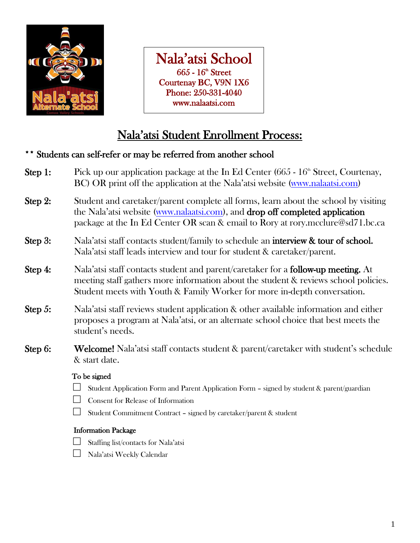

Nala'atsi School  $665$  -  $16^{\text{th}}$  Street Courtenay BC, V9N 1X6 Phone: 250-331-4040 www.nalaatsi.com

### Nala'atsi Student Enrollment Process:

### Students can self-refer or may be referred from another school

- **Step 1:** Pick up our application package at the In Ed Center (665  $16<sup>th</sup>$  Street, Courtenay, BC) OR print off the application at the Nala'atsi website ([www.nalaatsi.com\)](http://www.nalaatsi.com/) **Step 2:** Student and caretaker/parent complete all forms, learn about the school by visiting the Nala'atsi website ([www.nalaatsi.com\)](http://www.nalaatsi.com/), and drop off completed application package at the In Ed Center OR scan & email to Rory at rory.mcclure@sd71.bc.ca Step 3: Nala'atsi staff contacts student/family to schedule an interview & tour of school. Nala'atsi staff leads interview and tour for student & caretaker/parent. **Step 4:** Nala'atsi staff contacts student and parent/caretaker for a **follow-up meeting.** At meeting staff gathers more information about the student & reviews school policies. Student meets with Youth & Family Worker for more in-depth conversation. Step 5: Nala'atsi staff reviews student application & other available information and either proposes a program at Nala'atsi, or an alternate school choice that best meets the student's needs. Step 6: Welcome! Nala'atsi staff contacts student & parent/caretaker with student's schedule & start date. To be signed  $\Box$  Student Application Form and Parent Application Form - signed by student & parent/guardian
	- Consent for Release of Information
	- □ Student Commitment Contract signed by caretaker/parent & student

### Information Package

- $\Box$  Staffing list/contacts for Nala'atsi
- □ Nala'atsi Weekly Calendar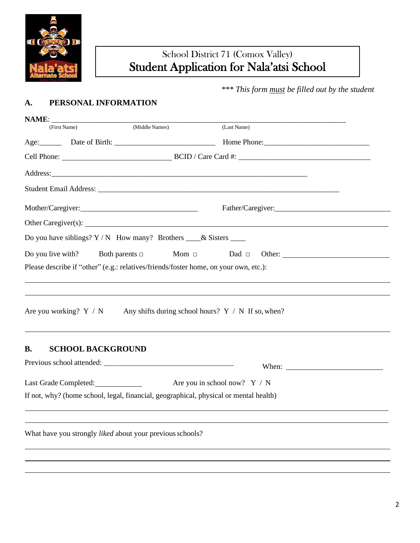

### School District 71 (Comox Valley) Student Application for Nala'atsi School

 *\*\*\* This form must be filled out by the student*

### **A. PERSONAL INFORMATION**

| NAME: |                                                                                       |                                                      |  |  |  |
|-------|---------------------------------------------------------------------------------------|------------------------------------------------------|--|--|--|
|       | (Middle Names)<br>(First Name)                                                        | (Last Name)                                          |  |  |  |
|       |                                                                                       |                                                      |  |  |  |
|       |                                                                                       |                                                      |  |  |  |
|       |                                                                                       |                                                      |  |  |  |
|       |                                                                                       |                                                      |  |  |  |
|       |                                                                                       |                                                      |  |  |  |
|       | Other Caregiver(s): $\qquad \qquad$                                                   |                                                      |  |  |  |
|       | Do you have siblings? $Y/N$ How many? Brothers $\_\_\&$ Sisters $\_\_\_\$             |                                                      |  |  |  |
|       | Both parents $\square$<br>Do you live with?                                           | Mom $\Box$<br>Dad $\Box$<br>Other:                   |  |  |  |
|       | Please describe if "other" (e.g.: relatives/friends/foster home, on your own, etc.):  |                                                      |  |  |  |
|       |                                                                                       |                                                      |  |  |  |
|       |                                                                                       |                                                      |  |  |  |
|       | Are you working? $Y / N$                                                              | Any shifts during school hours? $Y / N$ If so, when? |  |  |  |
| В.    | <b>SCHOOL BACKGROUND</b>                                                              |                                                      |  |  |  |
|       |                                                                                       |                                                      |  |  |  |
|       | Last Grade Completed:                                                                 | Are you in school now? $Y / N$                       |  |  |  |
|       | If not, why? (home school, legal, financial, geographical, physical or mental health) |                                                      |  |  |  |
|       |                                                                                       |                                                      |  |  |  |
|       | What have you strongly liked about your previous schools?                             |                                                      |  |  |  |
|       |                                                                                       |                                                      |  |  |  |
|       |                                                                                       |                                                      |  |  |  |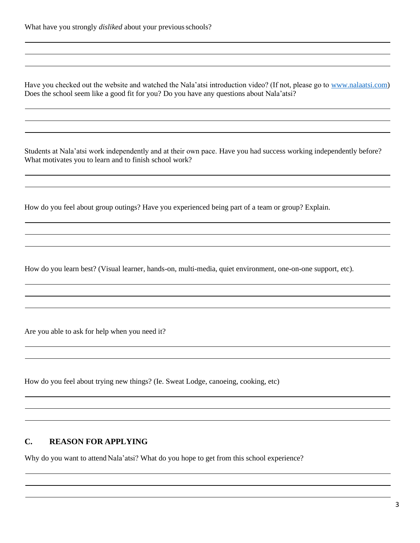Have you checked out the website and watched the Nala'atsi introduction video? (If not, please go to [www.nalaatsi.com\)](http://www.nalaatsi.com/) Does the school seem like a good fit for you? Do you have any questions about Nala'atsi?

Students at Nala'atsi work independently and at their own pace. Have you had success working independently before? What motivates you to learn and to finish school work?

How do you feel about group outings? Have you experienced being part of a team or group? Explain.

How do you learn best? (Visual learner, hands-on, multi-media, quiet environment, one-on-one support, etc).

Are you able to ask for help when you need it?

How do you feel about trying new things? (Ie. Sweat Lodge, canoeing, cooking, etc)

### **C. REASON FOR APPLYING**

Why do you want to attend Nala'atsi? What do you hope to get from this school experience?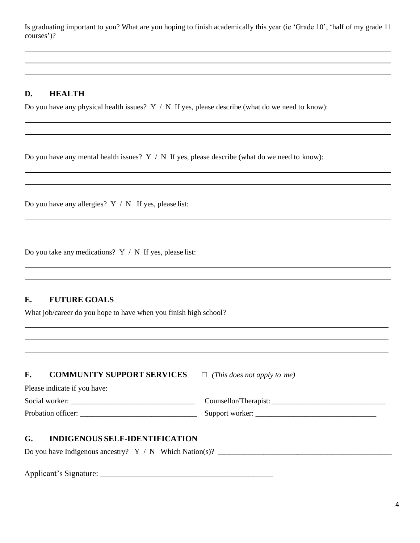Is graduating important to you? What are you hoping to finish academically this year (ie 'Grade 10', 'half of my grade 11 courses')?

### **D. HEALTH**

Do you have any physical health issues?  $Y / N$  If yes, please describe (what do we need to know):

Do you have any mental health issues?  $Y / N$  If yes, please describe (what do we need to know):

Do you have any allergies?  $Y / N$  If yes, please list:

Do you take any medications?  $Y / N$  If yes, please list:

### **E. FUTURE GOALS**

What job/career do you hope to have when you finish high school?

| F. | <b>COMMUNITY SUPPORT SERVICES</b> | $\Box$ (This does not apply to me) |
|----|-----------------------------------|------------------------------------|
|    | Please indicate if you have:      |                                    |
|    |                                   |                                    |
|    |                                   | Support worker:                    |

### **G. INDIGENOUS SELF-IDENTIFICATION**

Do you have Indigenous ancestry? Y / N Which Nation(s)? \_\_\_\_\_\_\_\_\_\_\_\_\_\_\_\_\_\_\_\_\_\_\_\_\_\_\_\_\_\_\_\_\_\_\_\_\_\_\_\_\_\_\_\_\_\_

Applicant's Signature: \_\_\_\_\_\_\_\_\_\_\_\_\_\_\_\_\_\_\_\_\_\_\_\_\_\_\_\_\_\_\_\_\_\_\_\_\_\_\_\_\_\_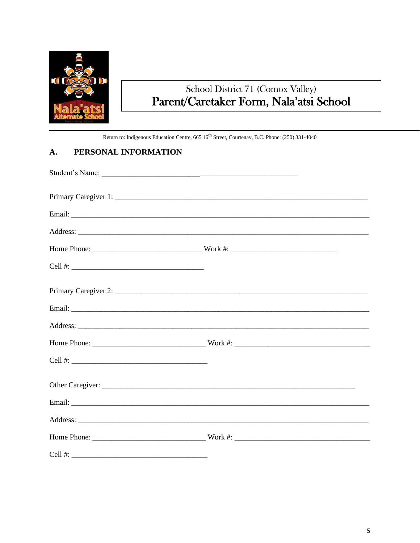

# School District 71 (Comox Valley)<br>Parent/Caretaker Form, Nala'atsi School

Return to: Indigenous Education Centre, 665 16<sup>th</sup> Street, Courtenay, B.C. Phone: (250) 331-4040

#### A. PERSONAL INFORMATION

|                         | Student's Name: |  |
|-------------------------|-----------------|--|
|                         |                 |  |
|                         |                 |  |
|                         |                 |  |
|                         |                 |  |
| Cell #: $\qquad \qquad$ |                 |  |
|                         |                 |  |
|                         |                 |  |
|                         |                 |  |
|                         |                 |  |
|                         |                 |  |
|                         |                 |  |
|                         |                 |  |
|                         |                 |  |
|                         |                 |  |
| Cell #:                 |                 |  |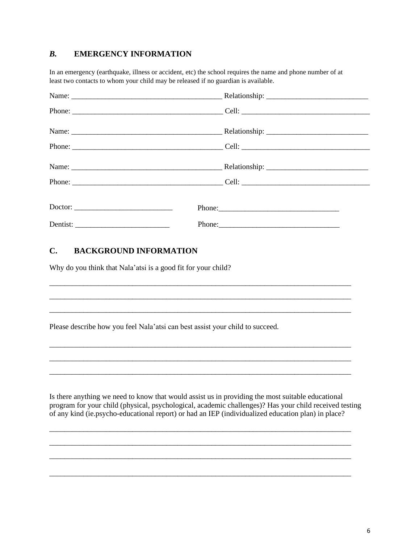### *B.* **EMERGENCY INFORMATION**

In an emergency (earthquake, illness or accident, etc) the school requires the name and phone number of at least two contacts to whom your child may be released if no guardian is available.

### **C. BACKGROUND INFORMATION**

Why do you think that Nala'atsi is a good fit for your child?

Please describe how you feel Nala'atsi can best assist your child to succeed.

Is there anything we need to know that would assist us in providing the most suitable educational program for your child (physical, psychological, academic challenges)? Has your child received testing of any kind (ie.psycho-educational report) or had an IEP (individualized education plan) in place?

\_\_\_\_\_\_\_\_\_\_\_\_\_\_\_\_\_\_\_\_\_\_\_\_\_\_\_\_\_\_\_\_\_\_\_\_\_\_\_\_\_\_\_\_\_\_\_\_\_\_\_\_\_\_\_\_\_\_\_\_\_\_\_\_\_\_\_\_\_\_\_\_\_\_\_\_\_\_\_\_ \_\_\_\_\_\_\_\_\_\_\_\_\_\_\_\_\_\_\_\_\_\_\_\_\_\_\_\_\_\_\_\_\_\_\_\_\_\_\_\_\_\_\_\_\_\_\_\_\_\_\_\_\_\_\_\_\_\_\_\_\_\_\_\_\_\_\_\_\_\_\_\_\_\_\_\_\_\_\_\_ \_\_\_\_\_\_\_\_\_\_\_\_\_\_\_\_\_\_\_\_\_\_\_\_\_\_\_\_\_\_\_\_\_\_\_\_\_\_\_\_\_\_\_\_\_\_\_\_\_\_\_\_\_\_\_\_\_\_\_\_\_\_\_\_\_\_\_\_\_\_\_\_\_\_\_\_\_\_\_\_

\_\_\_\_\_\_\_\_\_\_\_\_\_\_\_\_\_\_\_\_\_\_\_\_\_\_\_\_\_\_\_\_\_\_\_\_\_\_\_\_\_\_\_\_\_\_\_\_\_\_\_\_\_\_\_\_\_\_\_\_\_\_\_\_\_\_\_\_\_\_\_\_\_\_\_\_\_\_\_\_

\_\_\_\_\_\_\_\_\_\_\_\_\_\_\_\_\_\_\_\_\_\_\_\_\_\_\_\_\_\_\_\_\_\_\_\_\_\_\_\_\_\_\_\_\_\_\_\_\_\_\_\_\_\_\_\_\_\_\_\_\_\_\_\_\_\_\_\_\_\_\_\_\_\_\_\_\_\_\_\_ \_\_\_\_\_\_\_\_\_\_\_\_\_\_\_\_\_\_\_\_\_\_\_\_\_\_\_\_\_\_\_\_\_\_\_\_\_\_\_\_\_\_\_\_\_\_\_\_\_\_\_\_\_\_\_\_\_\_\_\_\_\_\_\_\_\_\_\_\_\_\_\_\_\_\_\_\_\_\_\_ \_\_\_\_\_\_\_\_\_\_\_\_\_\_\_\_\_\_\_\_\_\_\_\_\_\_\_\_\_\_\_\_\_\_\_\_\_\_\_\_\_\_\_\_\_\_\_\_\_\_\_\_\_\_\_\_\_\_\_\_\_\_\_\_\_\_\_\_\_\_\_\_\_\_\_\_\_\_\_\_

\_\_\_\_\_\_\_\_\_\_\_\_\_\_\_\_\_\_\_\_\_\_\_\_\_\_\_\_\_\_\_\_\_\_\_\_\_\_\_\_\_\_\_\_\_\_\_\_\_\_\_\_\_\_\_\_\_\_\_\_\_\_\_\_\_\_\_\_\_\_\_\_\_\_\_\_\_\_\_\_ \_\_\_\_\_\_\_\_\_\_\_\_\_\_\_\_\_\_\_\_\_\_\_\_\_\_\_\_\_\_\_\_\_\_\_\_\_\_\_\_\_\_\_\_\_\_\_\_\_\_\_\_\_\_\_\_\_\_\_\_\_\_\_\_\_\_\_\_\_\_\_\_\_\_\_\_\_\_\_\_ \_\_\_\_\_\_\_\_\_\_\_\_\_\_\_\_\_\_\_\_\_\_\_\_\_\_\_\_\_\_\_\_\_\_\_\_\_\_\_\_\_\_\_\_\_\_\_\_\_\_\_\_\_\_\_\_\_\_\_\_\_\_\_\_\_\_\_\_\_\_\_\_\_\_\_\_\_\_\_\_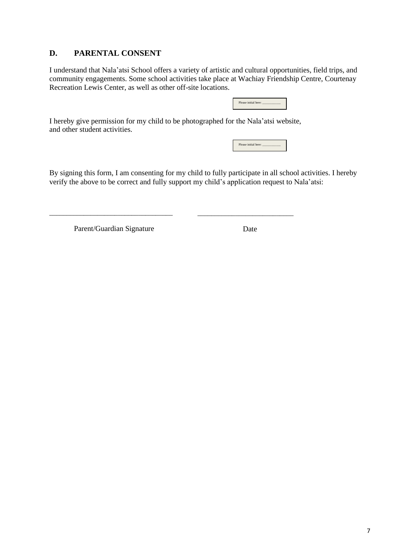### **D. PARENTAL CONSENT**

I understand that Nala'atsi School offers a variety of artistic and cultural opportunities, field trips, and community engagements. Some school activities take place at Wachiay Friendship Centre, Courtenay Recreation Lewis Center, as well as other off-site locations.

| Please initial here: |  |  |
|----------------------|--|--|
|                      |  |  |

I hereby give permission for my child to be photographed for the Nala'atsi website, and other student activities.

| Please initial here: |  |  |
|----------------------|--|--|
|                      |  |  |

By signing this form, I am consenting for my child to fully participate in all school activities. I hereby verify the above to be correct and fully support my child's application request to Nala'atsi:

Parent/Guardian Signature

\_\_\_\_\_\_\_\_\_\_\_\_\_\_\_\_\_\_\_\_\_\_\_\_\_\_\_\_\_\_\_\_\_\_\_\_

Date

\_\_\_\_\_\_\_\_\_\_\_\_\_\_\_\_\_\_\_\_\_\_\_\_\_\_\_\_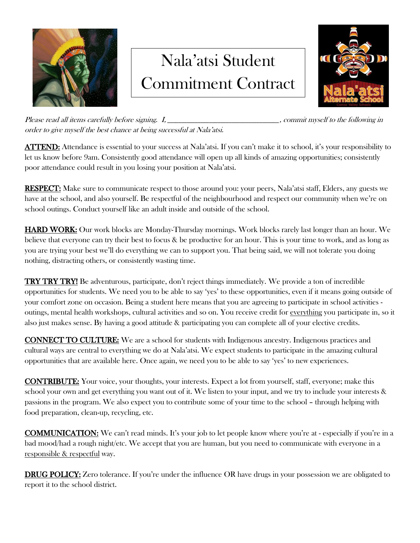

## Nala'atsi Student Commitment Contract



Please read all items carefully before signing. I, *\_\_\_\_\_\_\_\_\_\_\_\_\_\_\_\_\_\_\_\_\_\_\_\_\_\_\_\_\_\_\_\_\_\_\_\_\_\_\_\_*, commit myself to the following in order to give myself the best chance at being successful at Nala'atsi.

ATTEND: Attendance is essential to your success at Nala'atsi. If you can't make it to school, it's your responsibility to let us know before 9am. Consistently good attendance will open up all kinds of amazing opportunities; consistently poor attendance could result in you losing your position at Nala'atsi.

RESPECT: Make sure to communicate respect to those around you: your peers, Nala'atsi staff, Elders, any guests we have at the school, and also yourself. Be respectful of the neighbourhood and respect our community when we're on school outings. Conduct yourself like an adult inside and outside of the school.

HARD WORK: Our work blocks are Monday-Thursday mornings. Work blocks rarely last longer than an hour. We believe that everyone can try their best to focus & be productive for an hour. This is your time to work, and as long as you are trying your best we'll do everything we can to support you. That being said, we will not tolerate you doing nothing, distracting others, or consistently wasting time.

**TRY TRY TRY!** Be adventurous, participate, don't reject things immediately. We provide a ton of incredible opportunities for students. We need you to be able to say 'yes' to these opportunities, even if it means going outside of your comfort zone on occasion. Being a student here means that you are agreeing to participate in school activities outings, mental health workshops, cultural activities and so on. You receive credit for everything you participate in, so it also just makes sense. By having a good attitude & participating you can complete all of your elective credits.

CONNECT TO CULTURE: We are a school for students with Indigenous ancestry. Indigenous practices and cultural ways are central to everything we do at Nala'atsi. We expect students to participate in the amazing cultural opportunities that are available here. Once again, we need you to be able to say 'yes' to new experiences.

CONTRIBUTE: Your voice, your thoughts, your interests. Expect a lot from yourself, staff, everyone; make this school your own and get everything you want out of it. We listen to your input, and we try to include your interests & passions in the program. We also expect you to contribute some of your time to the school – through helping with food preparation, clean-up, recycling, etc.

COMMUNICATION: We can't read minds. It's your job to let people know where you're at - especially if you're in a bad mood/had a rough night/etc. We accept that you are human, but you need to communicate with everyone in a responsible & respectful way.

DRUG POLICY: Zero tolerance. If you're under the influence OR have drugs in your possession we are obligated to report it to the school district.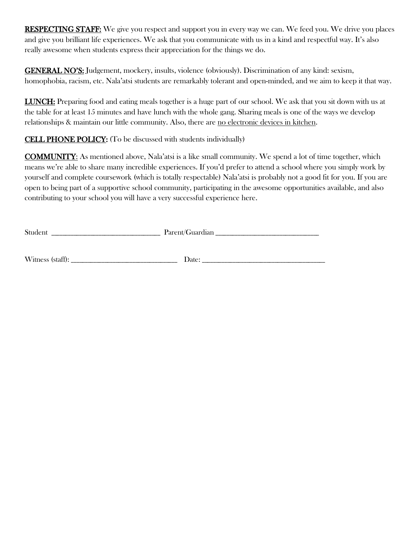RESPECTING STAFF: We give you respect and support you in every way we can. We feed you. We drive you places and give you brilliant life experiences. We ask that you communicate with us in a kind and respectful way. It's also really awesome when students express their appreciation for the things we do.

GENERAL NO'S: Judgement, mockery, insults, violence (obviously). Discrimination of any kind: sexism, homophobia, racism, etc. Nala'atsi students are remarkably tolerant and open-minded, and we aim to keep it that way.

LUNCH: Preparing food and eating meals together is a huge part of our school. We ask that you sit down with us at the table for at least 15 minutes and have lunch with the whole gang. Sharing meals is one of the ways we develop relationships & maintain our little community. Also, there are no electronic devices in kitchen.

### CELL PHONE POLICY: (To be discussed with students individually)

COMMUNITY: As mentioned above, Nala'atsi is a like small community. We spend a lot of time together, which means we're able to share many incredible experiences. If you'd prefer to attend a school where you simply work by yourself and complete coursework (which is totally respectable) Nala'atsi is probably not a good fit for you. If you are open to being part of a supportive school community, participating in the awesome opportunities available, and also contributing to your school you will have a very successful experience here.

| ◠ |  |
|---|--|
|   |  |